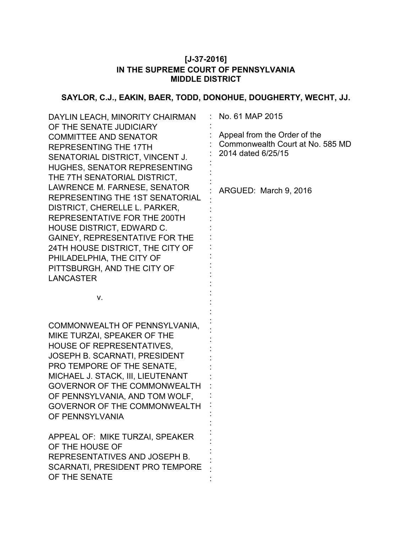## **[J-37-2016] IN THE SUPREME COURT OF PENNSYLVANIA MIDDLE DISTRICT**

# **SAYLOR, C.J., EAKIN, BAER, TODD, DONOHUE, DOUGHERTY, WECHT, JJ.**

| DAYLIN LEACH, MINORITY CHAIRMAN<br>OF THE SENATE JUDICIARY<br><b>COMMITTEE AND SENATOR</b><br><b>REPRESENTING THE 17TH</b><br>SENATORIAL DISTRICT, VINCENT J.<br><b>HUGHES, SENATOR REPRESENTING</b><br>THE 7TH SENATORIAL DISTRICT,<br>LAWRENCE M. FARNESE, SENATOR<br>REPRESENTING THE 1ST SENATORIAL<br>DISTRICT, CHERELLE L. PARKER,<br>REPRESENTATIVE FOR THE 200TH<br><b>HOUSE DISTRICT, EDWARD C.</b><br><b>GAINEY, REPRESENTATIVE FOR THE</b><br>24TH HOUSE DISTRICT, THE CITY OF<br>PHILADELPHIA, THE CITY OF | No. 61 MAP 2015<br>Appeal from the Order of the<br>Commonwealth Court at No. 585 MD<br>2014 dated 6/25/15<br>ARGUED: March 9, 2016 |
|------------------------------------------------------------------------------------------------------------------------------------------------------------------------------------------------------------------------------------------------------------------------------------------------------------------------------------------------------------------------------------------------------------------------------------------------------------------------------------------------------------------------|------------------------------------------------------------------------------------------------------------------------------------|
| PITTSBURGH, AND THE CITY OF<br><b>LANCASTER</b>                                                                                                                                                                                                                                                                                                                                                                                                                                                                        |                                                                                                                                    |
| ٧.                                                                                                                                                                                                                                                                                                                                                                                                                                                                                                                     |                                                                                                                                    |
| COMMONWEALTH OF PENNSYLVANIA,<br>MIKE TURZAI, SPEAKER OF THE<br><b>HOUSE OF REPRESENTATIVES,</b><br>JOSEPH B. SCARNATI, PRESIDENT<br>PRO TEMPORE OF THE SENATE,<br>MICHAEL J. STACK, III, LIEUTENANT<br>GOVERNOR OF THE COMMONWEALTH<br>OF PENNSYLVANIA, AND TOM WOLF,<br><b>GOVERNOR OF THE COMMONWEALTH</b><br>OF PENNSYLVANIA                                                                                                                                                                                       |                                                                                                                                    |
| APPEAL OF: MIKE TURZAI, SPEAKER<br>OF THE HOUSE OF<br>REPRESENTATIVES AND JOSEPH B.<br>SCARNATI, PRESIDENT PRO TEMPORE<br>OF THE SENATE                                                                                                                                                                                                                                                                                                                                                                                |                                                                                                                                    |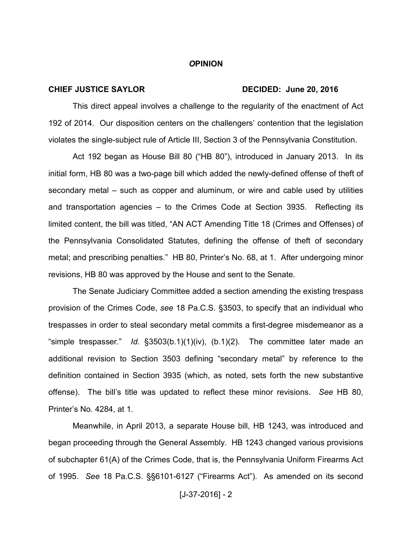#### *O***PINION**

### **CHIEF JUSTICE SAYLOR DECIDED: June 20, 2016**

This direct appeal involves a challenge to the regularity of the enactment of Act 192 of 2014. Our disposition centers on the challengers' contention that the legislation violates the single-subject rule of Article III, Section 3 of the Pennsylvania Constitution.

Act 192 began as House Bill 80 ("HB 80"), introduced in January 2013. In its initial form, HB 80 was a two-page bill which added the newly-defined offense of theft of secondary metal – such as copper and aluminum, or wire and cable used by utilities and transportation agencies – to the Crimes Code at Section 3935. Reflecting its limited content, the bill was titled, "AN ACT Amending Title 18 (Crimes and Offenses) of the Pennsylvania Consolidated Statutes, defining the offense of theft of secondary metal; and prescribing penalties." HB 80, Printer's No. 68, at 1. After undergoing minor revisions, HB 80 was approved by the House and sent to the Senate.

The Senate Judiciary Committee added a section amending the existing trespass provision of the Crimes Code, *see* 18 Pa.C.S. §3503, to specify that an individual who trespasses in order to steal secondary metal commits a first-degree misdemeanor as a "simple trespasser." *Id.* §3503(b.1)(1)(iv), (b.1)(2). The committee later made an additional revision to Section 3503 defining "secondary metal" by reference to the definition contained in Section 3935 (which, as noted, sets forth the new substantive offense). The bill's title was updated to reflect these minor revisions. *See* HB 80, Printer's No. 4284, at 1.

Meanwhile, in April 2013, a separate House bill, HB 1243, was introduced and began proceeding through the General Assembly. HB 1243 changed various provisions of subchapter 61(A) of the Crimes Code, that is, the Pennsylvania Uniform Firearms Act of 1995. *See* 18 Pa.C.S. §§6101-6127 ("Firearms Act"). As amended on its second

### $[J-37-2016] - 2$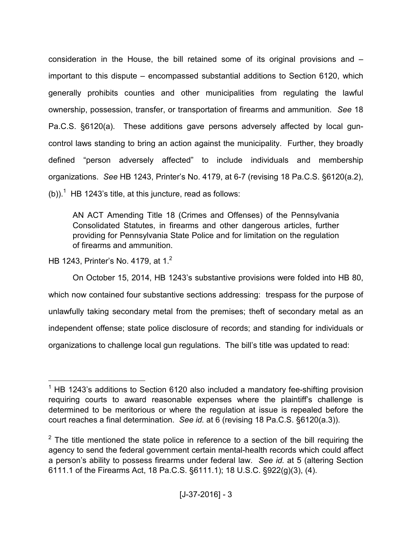consideration in the House, the bill retained some of its original provisions and – important to this dispute – encompassed substantial additions to Section 6120, which generally prohibits counties and other municipalities from regulating the lawful ownership, possession, transfer, or transportation of firearms and ammunition. *See* 18 Pa.C.S. §6120(a). These additions gave persons adversely affected by local guncontrol laws standing to bring an action against the municipality. Further, they broadly defined "person adversely affected" to include individuals and membership organizations. *See* HB 1243, Printer's No. 4179, at 6-7 (revising 18 Pa.C.S. §6120(a.2), (b)).<sup>1</sup> HB 1243's title, at this juncture, read as follows:

AN ACT Amending Title 18 (Crimes and Offenses) of the Pennsylvania Consolidated Statutes, in firearms and other dangerous articles, further providing for Pennsylvania State Police and for limitation on the regulation of firearms and ammunition.

HB 1243, Printer's No. 4179, at 1.<sup>2</sup>

 $\overline{a}$ 

On October 15, 2014, HB 1243's substantive provisions were folded into HB 80, which now contained four substantive sections addressing: trespass for the purpose of unlawfully taking secondary metal from the premises; theft of secondary metal as an independent offense; state police disclosure of records; and standing for individuals or organizations to challenge local gun regulations. The bill's title was updated to read:

 $1$  HB 1243's additions to Section 6120 also included a mandatory fee-shifting provision requiring courts to award reasonable expenses where the plaintiff's challenge is determined to be meritorious or where the regulation at issue is repealed before the court reaches a final determination. *See id.* at 6 (revising 18 Pa.C.S. §6120(a.3)).

 $2$  The title mentioned the state police in reference to a section of the bill requiring the agency to send the federal government certain mental-health records which could affect a person's ability to possess firearms under federal law. *See id.* at 5 (altering Section 6111.1 of the Firearms Act, 18 Pa.C.S. §6111.1); 18 U.S.C. §922(g)(3), (4).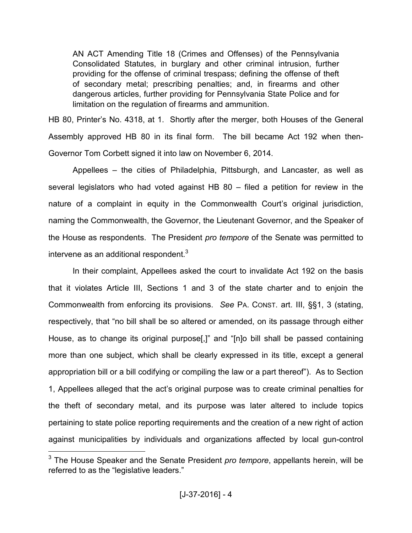AN ACT Amending Title 18 (Crimes and Offenses) of the Pennsylvania Consolidated Statutes, in burglary and other criminal intrusion, further providing for the offense of criminal trespass; defining the offense of theft of secondary metal; prescribing penalties; and, in firearms and other dangerous articles, further providing for Pennsylvania State Police and for limitation on the regulation of firearms and ammunition.

HB 80, Printer's No. 4318, at 1. Shortly after the merger, both Houses of the General Assembly approved HB 80 in its final form. The bill became Act 192 when then-Governor Tom Corbett signed it into law on November 6, 2014.

Appellees – the cities of Philadelphia, Pittsburgh, and Lancaster, as well as several legislators who had voted against HB 80 – filed a petition for review in the nature of a complaint in equity in the Commonwealth Court's original jurisdiction, naming the Commonwealth, the Governor, the Lieutenant Governor, and the Speaker of the House as respondents. The President *pro tempore* of the Senate was permitted to intervene as an additional respondent. $3$ 

In their complaint, Appellees asked the court to invalidate Act 192 on the basis that it violates Article III, Sections 1 and 3 of the state charter and to enjoin the Commonwealth from enforcing its provisions. *See* PA. CONST. art. III, §§1, 3 (stating, respectively, that "no bill shall be so altered or amended, on its passage through either House, as to change its original purpose[,]" and "[n]o bill shall be passed containing more than one subject, which shall be clearly expressed in its title, except a general appropriation bill or a bill codifying or compiling the law or a part thereof"). As to Section 1, Appellees alleged that the act's original purpose was to create criminal penalties for the theft of secondary metal, and its purpose was later altered to include topics pertaining to state police reporting requirements and the creation of a new right of action against municipalities by individuals and organizations affected by local gun-control

<sup>3</sup> The House Speaker and the Senate President *pro tempore*, appellants herein, will be referred to as the "legislative leaders."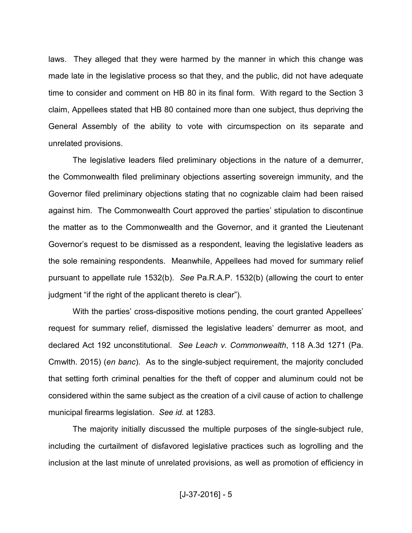laws. They alleged that they were harmed by the manner in which this change was made late in the legislative process so that they, and the public, did not have adequate time to consider and comment on HB 80 in its final form. With regard to the Section 3 claim, Appellees stated that HB 80 contained more than one subject, thus depriving the General Assembly of the ability to vote with circumspection on its separate and unrelated provisions.

The legislative leaders filed preliminary objections in the nature of a demurrer, the Commonwealth filed preliminary objections asserting sovereign immunity, and the Governor filed preliminary objections stating that no cognizable claim had been raised against him. The Commonwealth Court approved the parties' stipulation to discontinue the matter as to the Commonwealth and the Governor, and it granted the Lieutenant Governor's request to be dismissed as a respondent, leaving the legislative leaders as the sole remaining respondents. Meanwhile, Appellees had moved for summary relief pursuant to appellate rule 1532(b). *See* Pa.R.A.P. 1532(b) (allowing the court to enter judgment "if the right of the applicant thereto is clear").

With the parties' cross-dispositive motions pending, the court granted Appellees' request for summary relief, dismissed the legislative leaders' demurrer as moot, and declared Act 192 unconstitutional. *See Leach v. Commonwealth*, 118 A.3d 1271 (Pa. Cmwlth. 2015) (*en banc*). As to the single-subject requirement, the majority concluded that setting forth criminal penalties for the theft of copper and aluminum could not be considered within the same subject as the creation of a civil cause of action to challenge municipal firearms legislation. *See id.* at 1283.

The majority initially discussed the multiple purposes of the single-subject rule, including the curtailment of disfavored legislative practices such as logrolling and the inclusion at the last minute of unrelated provisions, as well as promotion of efficiency in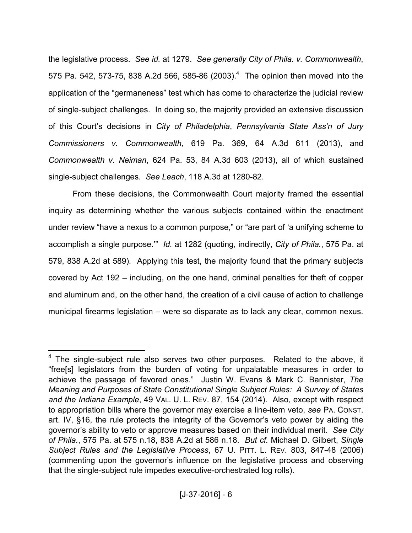the legislative process. *See id.* at 1279. *See generally City of Phila. v. Commonwealth*, 575 Pa. 542, 573-75, 838 A.2d 566, 585-86  $(2003).<sup>4</sup>$  The opinion then moved into the application of the "germaneness" test which has come to characterize the judicial review of single-subject challenges. In doing so, the majority provided an extensive discussion of this Court's decisions in *City of Philadelphia*, *Pennsylvania State Ass'n of Jury Commissioners v. Commonwealth*, 619 Pa. 369, 64 A.3d 611 (2013), and *Commonwealth v. Neiman*, 624 Pa. 53, 84 A.3d 603 (2013), all of which sustained single-subject challenges. *See Leach*, 118 A.3d at 1280-82.

From these decisions, the Commonwealth Court majority framed the essential inquiry as determining whether the various subjects contained within the enactment under review "have a nexus to a common purpose," or "are part of 'a unifying scheme to accomplish a single purpose.'" *Id.* at 1282 (quoting, indirectly, *City of Phila.*, 575 Pa. at 579, 838 A.2d at 589). Applying this test, the majority found that the primary subjects covered by Act 192 – including, on the one hand, criminal penalties for theft of copper and aluminum and, on the other hand, the creation of a civil cause of action to challenge municipal firearms legislation – were so disparate as to lack any clear, common nexus.

 $4$  The single-subject rule also serves two other purposes. Related to the above, it "free[s] legislators from the burden of voting for unpalatable measures in order to achieve the passage of favored ones." Justin W. Evans & Mark C. Bannister, *The Meaning and Purposes of State Constitutional Single Subject Rules: A Survey of States and the Indiana Example*, 49 VAL. U. L. REV. 87, 154 (2014). Also, except with respect to appropriation bills where the governor may exercise a line-item veto, *see* PA. CONST. art. IV, §16, the rule protects the integrity of the Governor's veto power by aiding the governor's ability to veto or approve measures based on their individual merit. *See City of Phila.*, 575 Pa. at 575 n.18, 838 A.2d at 586 n.18. *But cf.* Michael D. Gilbert, *Single Subject Rules and the Legislative Process*, 67 U. PITT. L. REV. 803, 847-48 (2006) (commenting upon the governor's influence on the legislative process and observing that the single-subject rule impedes executive-orchestrated log rolls).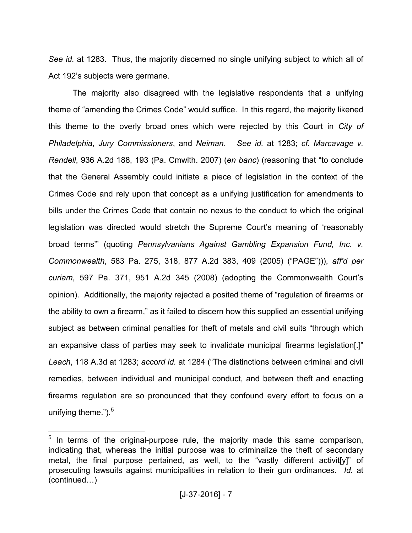*See id.* at 1283. Thus, the majority discerned no single unifying subject to which all of Act 192's subjects were germane.

The majority also disagreed with the legislative respondents that a unifying theme of "amending the Crimes Code" would suffice. In this regard, the majority likened this theme to the overly broad ones which were rejected by this Court in *City of Philadelphia*, *Jury Commissioners*, and *Neiman*. *See id.* at 1283; *cf. Marcavage v. Rendell*, 936 A.2d 188, 193 (Pa. Cmwlth. 2007) (*en banc*) (reasoning that "to conclude that the General Assembly could initiate a piece of legislation in the context of the Crimes Code and rely upon that concept as a unifying justification for amendments to bills under the Crimes Code that contain no nexus to the conduct to which the original legislation was directed would stretch the Supreme Court's meaning of 'reasonably broad terms'" (quoting *Pennsylvanians Against Gambling Expansion Fund, Inc. v. Commonwealth*, 583 Pa. 275, 318, 877 A.2d 383, 409 (2005) ("PAGE"))), *aff'd per curiam*, 597 Pa. 371, 951 A.2d 345 (2008) (adopting the Commonwealth Court's opinion). Additionally, the majority rejected a posited theme of "regulation of firearms or the ability to own a firearm," as it failed to discern how this supplied an essential unifying subject as between criminal penalties for theft of metals and civil suits "through which an expansive class of parties may seek to invalidate municipal firearms legislation[.]" *Leach*, 118 A.3d at 1283; *accord id.* at 1284 ("The distinctions between criminal and civil remedies, between individual and municipal conduct, and between theft and enacting firearms regulation are so pronounced that they confound every effort to focus on a unifying theme.").<sup>5</sup>

-

 $5$  In terms of the original-purpose rule, the majority made this same comparison, indicating that, whereas the initial purpose was to criminalize the theft of secondary metal, the final purpose pertained, as well, to the "vastly different activit[y]" of prosecuting lawsuits against municipalities in relation to their gun ordinances. *Id.* at  $(continued...)$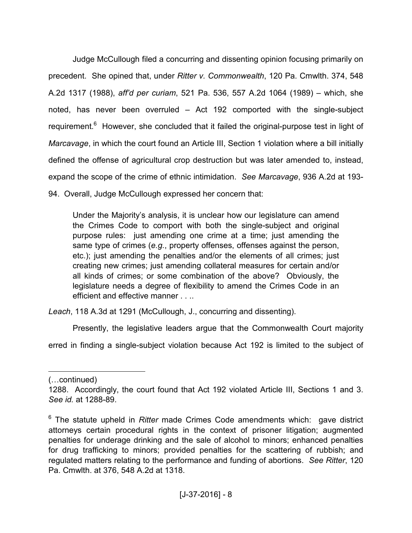Judge McCullough filed a concurring and dissenting opinion focusing primarily on precedent. She opined that, under *Ritter v. Commonwealth*, 120 Pa. Cmwlth. 374, 548 A.2d 1317 (1988), *aff'd per curiam*, 521 Pa. 536, 557 A.2d 1064 (1989) – which, she noted, has never been overruled – Act 192 comported with the single-subject requirement.<sup>6</sup> However, she concluded that it failed the original-purpose test in light of *Marcavage*, in which the court found an Article III, Section 1 violation where a bill initially defined the offense of agricultural crop destruction but was later amended to, instead, expand the scope of the crime of ethnic intimidation. *See Marcavage*, 936 A.2d at 193- 94. Overall, Judge McCullough expressed her concern that:

Under the Majority's analysis, it is unclear how our legislature can amend the Crimes Code to comport with both the single-subject and original purpose rules: just amending one crime at a time; just amending the same type of crimes (*e.g.*, property offenses, offenses against the person, etc.); just amending the penalties and/or the elements of all crimes; just creating new crimes; just amending collateral measures for certain and/or all kinds of crimes; or some combination of the above? Obviously, the legislature needs a degree of flexibility to amend the Crimes Code in an efficient and effective manner . . ..

*Leach*, 118 A.3d at 1291 (McCullough, J., concurring and dissenting).

Presently, the legislative leaders argue that the Commonwealth Court majority

erred in finding a single-subject violation because Act 192 is limited to the subject of

<u>.</u>

<sup>(...</sup>continued)

<sup>1288.</sup> Accordingly, the court found that Act 192 violated Article III, Sections 1 and 3. *See id.* at 1288-89.

<sup>&</sup>lt;sup>6</sup> The statute upheld in *Ritter* made Crimes Code amendments which: gave district attorneys certain procedural rights in the context of prisoner litigation; augmented penalties for underage drinking and the sale of alcohol to minors; enhanced penalties for drug trafficking to minors; provided penalties for the scattering of rubbish; and regulated matters relating to the performance and funding of abortions. *See Ritter*, 120 Pa. Cmwlth. at 376, 548 A.2d at 1318.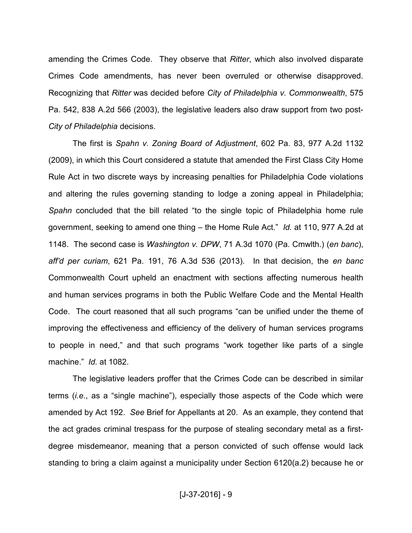amending the Crimes Code. They observe that *Ritter*, which also involved disparate Crimes Code amendments, has never been overruled or otherwise disapproved. Recognizing that *Ritter* was decided before *City of Philadelphia v. Commonwealth*, 575 Pa. 542, 838 A.2d 566 (2003), the legislative leaders also draw support from two post-*City of Philadelphia* decisions.

The first is *Spahn v. Zoning Board of Adjustment*, 602 Pa. 83, 977 A.2d 1132 (2009), in which this Court considered a statute that amended the First Class City Home Rule Act in two discrete ways by increasing penalties for Philadelphia Code violations and altering the rules governing standing to lodge a zoning appeal in Philadelphia; *Spahn* concluded that the bill related "to the single topic of Philadelphia home rule government, seeking to amend one thing – the Home Rule Act." *Id.* at 110, 977 A.2d at 1148. The second case is *Washington v. DPW*, 71 A.3d 1070 (Pa. Cmwlth.) (*en banc*), *aff'd per curiam*, 621 Pa. 191, 76 A.3d 536 (2013). In that decision, the *en banc* Commonwealth Court upheld an enactment with sections affecting numerous health and human services programs in both the Public Welfare Code and the Mental Health Code. The court reasoned that all such programs "can be unified under the theme of improving the effectiveness and efficiency of the delivery of human services programs to people in need," and that such programs "work together like parts of a single machine." *Id.* at 1082.

The legislative leaders proffer that the Crimes Code can be described in similar terms (*i.e.*, as a "single machine"), especially those aspects of the Code which were amended by Act 192. *See* Brief for Appellants at 20. As an example, they contend that the act grades criminal trespass for the purpose of stealing secondary metal as a firstdegree misdemeanor, meaning that a person convicted of such offense would lack standing to bring a claim against a municipality under Section 6120(a.2) because he or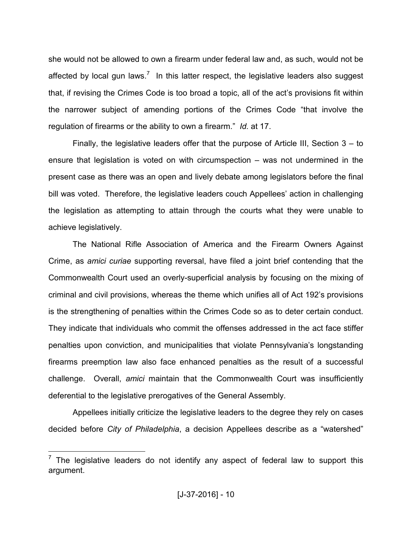she would not be allowed to own a firearm under federal law and, as such, would not be affected by local gun laws.<sup>7</sup> In this latter respect, the legislative leaders also suggest that, if revising the Crimes Code is too broad a topic, all of the act's provisions fit within the narrower subject of amending portions of the Crimes Code "that involve the regulation of firearms or the ability to own a firearm." *Id.* at 17.

Finally, the legislative leaders offer that the purpose of Article III, Section 3 – to ensure that legislation is voted on with circumspection – was not undermined in the present case as there was an open and lively debate among legislators before the final bill was voted. Therefore, the legislative leaders couch Appellees' action in challenging the legislation as attempting to attain through the courts what they were unable to achieve legislatively.

The National Rifle Association of America and the Firearm Owners Against Crime, as *amici curiae* supporting reversal, have filed a joint brief contending that the Commonwealth Court used an overly-superficial analysis by focusing on the mixing of criminal and civil provisions, whereas the theme which unifies all of Act 192's provisions is the strengthening of penalties within the Crimes Code so as to deter certain conduct. They indicate that individuals who commit the offenses addressed in the act face stiffer penalties upon conviction, and municipalities that violate Pennsylvania's longstanding firearms preemption law also face enhanced penalties as the result of a successful challenge. Overall, *amici* maintain that the Commonwealth Court was insufficiently deferential to the legislative prerogatives of the General Assembly.

Appellees initially criticize the legislative leaders to the degree they rely on cases decided before *City of Philadelphia*, a decision Appellees describe as a "watershed"

 $<sup>7</sup>$  The legislative leaders do not identify any aspect of federal law to support this</sup> argument.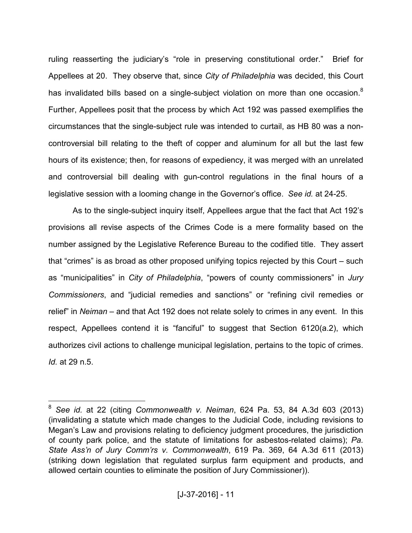ruling reasserting the judiciary's "role in preserving constitutional order." Brief for Appellees at 20. They observe that, since *City of Philadelphia* was decided, this Court has invalidated bills based on a single-subject violation on more than one occasion.<sup>8</sup> Further, Appellees posit that the process by which Act 192 was passed exemplifies the circumstances that the single-subject rule was intended to curtail, as HB 80 was a noncontroversial bill relating to the theft of copper and aluminum for all but the last few hours of its existence; then, for reasons of expediency, it was merged with an unrelated and controversial bill dealing with gun-control regulations in the final hours of a legislative session with a looming change in the Governor's office. *See id.* at 24-25.

As to the single-subject inquiry itself, Appellees argue that the fact that Act 192's provisions all revise aspects of the Crimes Code is a mere formality based on the number assigned by the Legislative Reference Bureau to the codified title. They assert that "crimes" is as broad as other proposed unifying topics rejected by this Court – such as "municipalities" in *City of Philadelphia*, "powers of county commissioners" in *Jury Commissioners*, and "judicial remedies and sanctions" or "refining civil remedies or relief" in *Neiman* – and that Act 192 does not relate solely to crimes in any event. In this respect, Appellees contend it is "fanciful" to suggest that Section 6120(a.2), which authorizes civil actions to challenge municipal legislation, pertains to the topic of crimes. *Id.* at 29 n.5.

<sup>8</sup> *See id.* at 22 (citing *Commonwealth v. Neiman*, 624 Pa. 53, 84 A.3d 603 (2013) (invalidating a statute which made changes to the Judicial Code, including revisions to Megan's Law and provisions relating to deficiency judgment procedures, the jurisdiction of county park police, and the statute of limitations for asbestos-related claims); *Pa. State Ass'n of Jury Comm'rs v. Commonwealth*, 619 Pa. 369, 64 A.3d 611 (2013) (striking down legislation that regulated surplus farm equipment and products, and allowed certain counties to eliminate the position of Jury Commissioner)).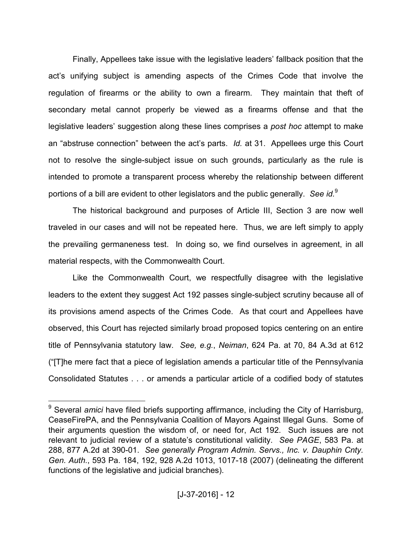Finally, Appellees take issue with the legislative leaders' fallback position that the act's unifying subject is amending aspects of the Crimes Code that involve the regulation of firearms or the ability to own a firearm. They maintain that theft of secondary metal cannot properly be viewed as a firearms offense and that the legislative leaders' suggestion along these lines comprises a *post hoc* attempt to make an "abstruse connection" between the act's parts. *Id.* at 31. Appellees urge this Court not to resolve the single-subject issue on such grounds, particularly as the rule is intended to promote a transparent process whereby the relationship between different portions of a bill are evident to other legislators and the public generally. *See id.*<sup>9</sup>

The historical background and purposes of Article III, Section 3 are now well traveled in our cases and will not be repeated here. Thus, we are left simply to apply the prevailing germaneness test. In doing so, we find ourselves in agreement, in all material respects, with the Commonwealth Court.

Like the Commonwealth Court, we respectfully disagree with the legislative leaders to the extent they suggest Act 192 passes single-subject scrutiny because all of its provisions amend aspects of the Crimes Code. As that court and Appellees have observed, this Court has rejected similarly broad proposed topics centering on an entire title of Pennsylvania statutory law. *See, e.g.*, *Neiman*, 624 Pa. at 70, 84 A.3d at 612 ("[T]he mere fact that a piece of legislation amends a particular title of the Pennsylvania Consolidated Statutes . . . or amends a particular article of a codified body of statutes

<sup>9</sup> Several *amici* have filed briefs supporting affirmance, including the City of Harrisburg, CeaseFirePA, and the Pennsylvania Coalition of Mayors Against Illegal Guns. Some of their arguments question the wisdom of, or need for, Act 192. Such issues are not relevant to judicial review of a statute's constitutional validity. *See PAGE*, 583 Pa. at 288, 877 A.2d at 390-01. *See generally Program Admin. Servs., Inc. v. Dauphin Cnty. Gen. Auth.*, 593 Pa. 184, 192, 928 A.2d 1013, 1017-18 (2007) (delineating the different functions of the legislative and judicial branches).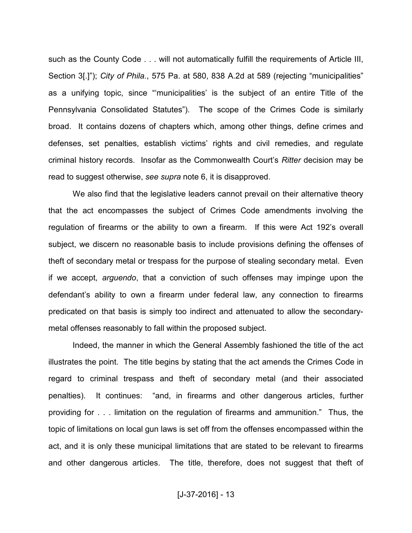such as the County Code . . . will not automatically fulfill the requirements of Article III, Section 3[.]"); *City of Phila.*, 575 Pa. at 580, 838 A.2d at 589 (rejecting "municipalities" as a unifying topic, since "'municipalities' is the subject of an entire Title of the Pennsylvania Consolidated Statutes"). The scope of the Crimes Code is similarly broad. It contains dozens of chapters which, among other things, define crimes and defenses, set penalties, establish victims' rights and civil remedies, and regulate criminal history records. Insofar as the Commonwealth Court's *Ritter* decision may be read to suggest otherwise, *see supra* note 6, it is disapproved.

We also find that the legislative leaders cannot prevail on their alternative theory that the act encompasses the subject of Crimes Code amendments involving the regulation of firearms or the ability to own a firearm. If this were Act 192's overall subject, we discern no reasonable basis to include provisions defining the offenses of theft of secondary metal or trespass for the purpose of stealing secondary metal. Even if we accept, *arguendo*, that a conviction of such offenses may impinge upon the defendant's ability to own a firearm under federal law, any connection to firearms predicated on that basis is simply too indirect and attenuated to allow the secondarymetal offenses reasonably to fall within the proposed subject.

Indeed, the manner in which the General Assembly fashioned the title of the act illustrates the point. The title begins by stating that the act amends the Crimes Code in regard to criminal trespass and theft of secondary metal (and their associated penalties). It continues: "and, in firearms and other dangerous articles, further providing for . . . limitation on the regulation of firearms and ammunition." Thus, the topic of limitations on local gun laws is set off from the offenses encompassed within the act, and it is only these municipal limitations that are stated to be relevant to firearms and other dangerous articles. The title, therefore, does not suggest that theft of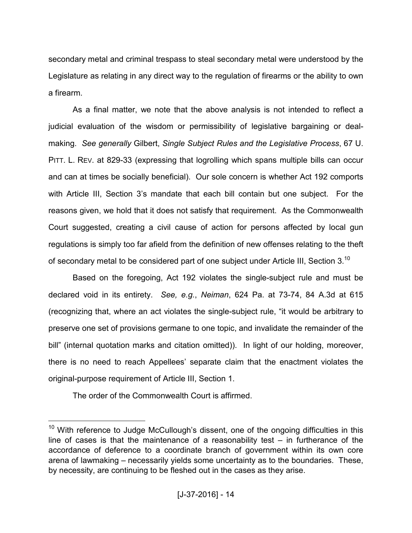secondary metal and criminal trespass to steal secondary metal were understood by the Legislature as relating in any direct way to the regulation of firearms or the ability to own a firearm.

As a final matter, we note that the above analysis is not intended to reflect a judicial evaluation of the wisdom or permissibility of legislative bargaining or dealmaking. *See generally* Gilbert, *Single Subject Rules and the Legislative Process*, 67 U. PITT. L. REV. at 829-33 (expressing that logrolling which spans multiple bills can occur and can at times be socially beneficial). Our sole concern is whether Act 192 comports with Article III, Section 3's mandate that each bill contain but one subject. For the reasons given, we hold that it does not satisfy that requirement. As the Commonwealth Court suggested, creating a civil cause of action for persons affected by local gun regulations is simply too far afield from the definition of new offenses relating to the theft of secondary metal to be considered part of one subject under Article III, Section 3.<sup>10</sup>

Based on the foregoing, Act 192 violates the single-subject rule and must be declared void in its entirety. *See, e.g.*, *Neiman*, 624 Pa. at 73-74, 84 A.3d at 615 (recognizing that, where an act violates the single-subject rule, "it would be arbitrary to preserve one set of provisions germane to one topic, and invalidate the remainder of the bill" (internal quotation marks and citation omitted)). In light of our holding, moreover, there is no need to reach Appellees' separate claim that the enactment violates the original-purpose requirement of Article III, Section 1.

The order of the Commonwealth Court is affirmed.

 $10$  With reference to Judge McCullough's dissent, one of the ongoing difficulties in this line of cases is that the maintenance of a reasonability test – in furtherance of the accordance of deference to a coordinate branch of government within its own core arena of lawmaking – necessarily yields some uncertainty as to the boundaries. These, by necessity, are continuing to be fleshed out in the cases as they arise.